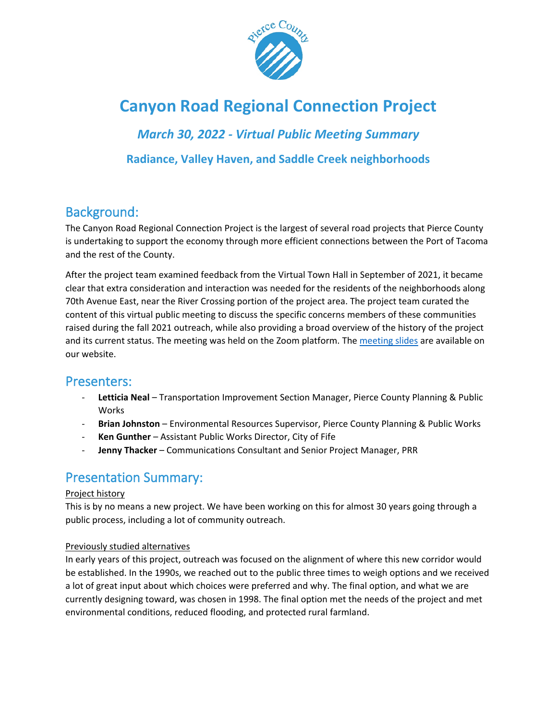

# **Canyon Road Regional Connection Project**

### *March 30, 2022 - Virtual Public Meeting Summary*

**Radiance, Valley Haven, and Saddle Creek neighborhoods**

# Background:

The Canyon Road Regional Connection Project is the largest of several road projects that Pierce County is undertaking to support the economy through more efficient connections between the Port of Tacoma and the rest of the County.

After the project team examined feedback from the Virtual Town Hall in September of 2021, it became clear that extra consideration and interaction was needed for the residents of the neighborhoods along 70th Avenue East, near the River Crossing portion of the project area. The project team curated the content of this virtual public meeting to discuss the specific concerns members of these communities raised during the fall 2021 outreach, while also providing a broad overview of the history of the project and its current status. The meeting was held on the Zoom platform. The [meeting slides](https://www.piercecountywa.gov/DocumentCenter/View/114659/Pierce_County_Canyon_Road_Regional_Connection_Project_Briefing_Presentation_3-30-2022) are available on our website.

### Presenters:

- **Letticia Neal** Transportation Improvement Section Manager, Pierce County Planning & Public Works
- **Brian Johnston** Environmental Resources Supervisor, Pierce County Planning & Public Works
- Ken Gunther Assistant Public Works Director, City of Fife
- Jenny Thacker Communications Consultant and Senior Project Manager, PRR

# Presentation Summary:

#### Project history

This is by no means a new project. We have been working on this for almost 30 years going through a public process, including a lot of community outreach.

#### Previously studied alternatives

In early years of this project, outreach was focused on the alignment of where this new corridor would be established. In the 1990s, we reached out to the public three times to weigh options and we received a lot of great input about which choices were preferred and why. The final option, and what we are currently designing toward, was chosen in 1998. The final option met the needs of the project and met environmental conditions, reduced flooding, and protected rural farmland.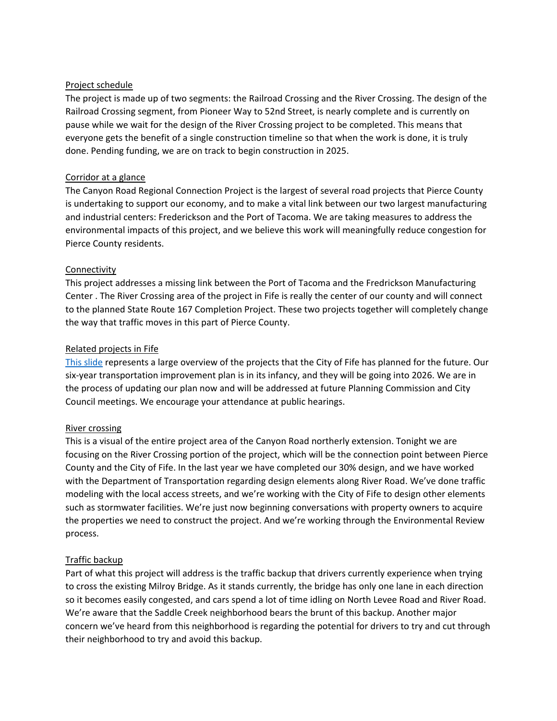#### Project schedule

The project is made up of two segments: the Railroad Crossing and the River Crossing. The design of the Railroad Crossing segment, from Pioneer Way to 52nd Street, is nearly complete and is currently on pause while we wait for the design of the River Crossing project to be completed. This means that everyone gets the benefit of a single construction timeline so that when the work is done, it is truly done. Pending funding, we are on track to begin construction in 2025.

#### Corridor at a glance

The Canyon Road Regional Connection Project is the largest of several road projects that Pierce County is undertaking to support our economy, and to make a vital link between our two largest manufacturing and industrial centers: Frederickson and the Port of Tacoma. We are taking measures to address the environmental impacts of this project, and we believe this work will meaningfully reduce congestion for Pierce County residents.

#### **Connectivity**

This project addresses a missing link between the Port of Tacoma and the Fredrickson Manufacturing Center . The River Crossing area of the project in Fife is really the center of our county and will connect to the planned State Route 167 Completion Project. These two projects together will completely change the way that traffic moves in this part of Pierce County.

#### Related projects in Fife

[This slide](https://www.cityoffife.org/DocumentCenter/View/3102/Resolution-1940---2021-to-2026-Six-Year-Transportation-Improvement-Program) represents a large overview of the projects that the City of Fife has planned for the future. Our six-year transportation improvement plan is in its infancy, and they will be going into 2026. We are in the process of updating our plan now and will be addressed at future Planning Commission and City Council meetings. We encourage your attendance at public hearings.

#### River crossing

This is a visual of the entire project area of the Canyon Road northerly extension. Tonight we are focusing on the River Crossing portion of the project, which will be the connection point between Pierce County and the City of Fife. In the last year we have completed our 30% design, and we have worked with the Department of Transportation regarding design elements along River Road. We've done traffic modeling with the local access streets, and we're working with the City of Fife to design other elements such as stormwater facilities. We're just now beginning conversations with property owners to acquire the properties we need to construct the project. And we're working through the Environmental Review process.

#### Traffic backup

Part of what this project will address is the traffic backup that drivers currently experience when trying to cross the existing Milroy Bridge. As it stands currently, the bridge has only one lane in each direction so it becomes easily congested, and cars spend a lot of time idling on North Levee Road and River Road. We're aware that the Saddle Creek neighborhood bears the brunt of this backup. Another major concern we've heard from this neighborhood is regarding the potential for drivers to try and cut through their neighborhood to try and avoid this backup.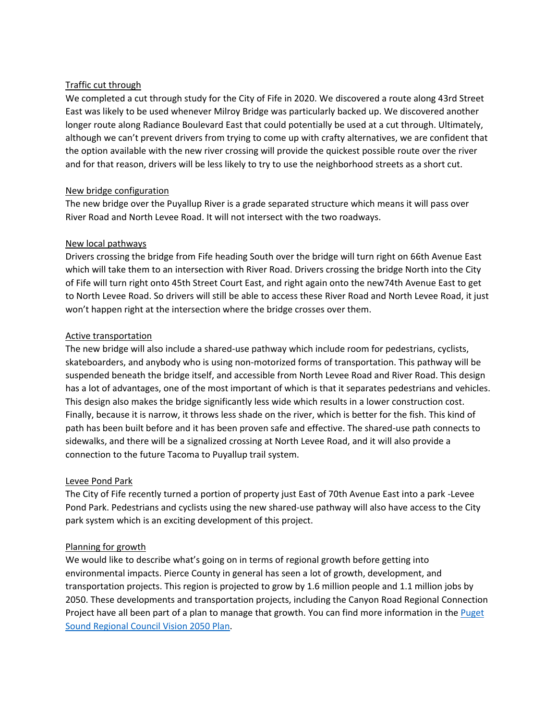#### Traffic cut through

We completed a cut through study for the City of Fife in 2020. We discovered a route along 43rd Street East was likely to be used whenever Milroy Bridge was particularly backed up. We discovered another longer route along Radiance Boulevard East that could potentially be used at a cut through. Ultimately, although we can't prevent drivers from trying to come up with crafty alternatives, we are confident that the option available with the new river crossing will provide the quickest possible route over the river and for that reason, drivers will be less likely to try to use the neighborhood streets as a short cut.

#### New bridge configuration

The new bridge over the Puyallup River is a grade separated structure which means it will pass over River Road and North Levee Road. It will not intersect with the two roadways.

#### New local pathways

Drivers crossing the bridge from Fife heading South over the bridge will turn right on 66th Avenue East which will take them to an intersection with River Road. Drivers crossing the bridge North into the City of Fife will turn right onto 45th Street Court East, and right again onto the new74th Avenue East to get to North Levee Road. So drivers will still be able to access these River Road and North Levee Road, it just won't happen right at the intersection where the bridge crosses over them.

#### Active transportation

The new bridge will also include a shared-use pathway which include room for pedestrians, cyclists, skateboarders, and anybody who is using non-motorized forms of transportation. This pathway will be suspended beneath the bridge itself, and accessible from North Levee Road and River Road. This design has a lot of advantages, one of the most important of which is that it separates pedestrians and vehicles. This design also makes the bridge significantly less wide which results in a lower construction cost. Finally, because it is narrow, it throws less shade on the river, which is better for the fish. This kind of path has been built before and it has been proven safe and effective. The shared-use path connects to sidewalks, and there will be a signalized crossing at North Levee Road, and it will also provide a connection to the future Tacoma to Puyallup trail system.

#### Levee Pond Park

The City of Fife recently turned a portion of property just East of 70th Avenue East into a park -Levee Pond Park. Pedestrians and cyclists using the new shared-use pathway will also have access to the City park system which is an exciting development of this project.

#### Planning for growth

We would like to describe what's going on in terms of regional growth before getting into environmental impacts. Pierce County in general has seen a lot of growth, development, and transportation projects. This region is projected to grow by 1.6 million people and 1.1 million jobs by 2050. These developments and transportation projects, including the Canyon Road Regional Connection Project have all been part of a plan to manage that growth. You can find more information in the [Puget](https://www.psrc.org/vision)  [Sound Regional Council Vision 2050 Plan.](https://www.psrc.org/vision)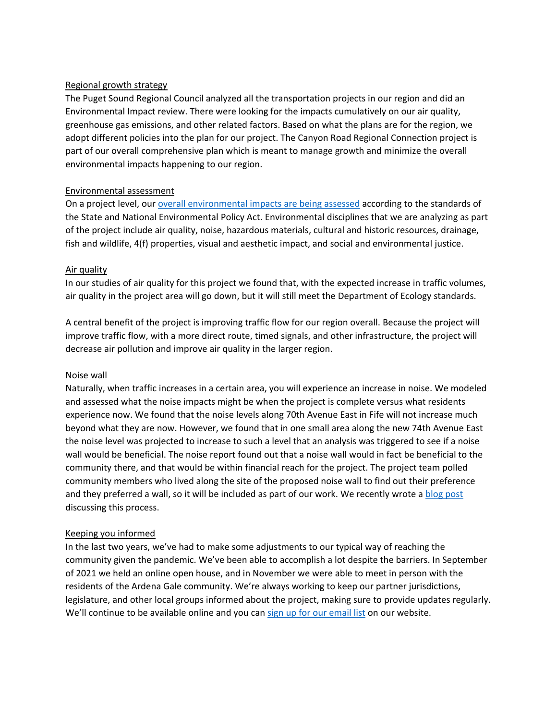#### Regional growth strategy

The Puget Sound Regional Council analyzed all the transportation projects in our region and did an Environmental Impact review. There were looking for the impacts cumulatively on our air quality, greenhouse gas emissions, and other related factors. Based on what the plans are for the region, we adopt different policies into the plan for our project. The Canyon Road Regional Connection project is part of our overall comprehensive plan which is meant to manage growth and minimize the overall environmental impacts happening to our region.

#### Environmental assessment

On a project level, ou[r overall environmental impacts are being assessed](https://www.canyonroadconnection.org/environmental-review-process) according to the standards of the State and National Environmental Policy Act. Environmental disciplines that we are analyzing as part of the project include air quality, noise, hazardous materials, cultural and historic resources, drainage, fish and wildlife, 4(f) properties, visual and aesthetic impact, and social and environmental justice.

#### Air quality

In our studies of air quality for this project we found that, with the expected increase in traffic volumes, air quality in the project area will go down, but it will still meet the Department of Ecology standards.

A central benefit of the project is improving traffic flow for our region overall. Because the project will improve traffic flow, with a more direct route, timed signals, and other infrastructure, the project will decrease air pollution and improve air quality in the larger region.

#### Noise wall

Naturally, when traffic increases in a certain area, you will experience an increase in noise. We modeled and assessed what the noise impacts might be when the project is complete versus what residents experience now. We found that the noise levels along 70th Avenue East in Fife will not increase much beyond what they are now. However, we found that in one small area along the new 74th Avenue East the noise level was projected to increase to such a level that an analysis was triggered to see if a noise wall would be beneficial. The noise report found out that a noise wall would in fact be beneficial to the community there, and that would be within financial reach for the project. The project team polled community members who lived along the site of the proposed noise wall to find out their preference and they preferred a wall, so it will be included as part of our work. We recently wrote a [blog post](https://blog.co.pierce.wa.us/canyon/2022/03/11/all-the-noise-on-noise-walls/) discussing this process.

#### Keeping you informed

In the last two years, we've had to make some adjustments to our typical way of reaching the community given the pandemic. We've been able to accomplish a lot despite the barriers. In September of 2021 we held an online open house, and in November we were able to meet in person with the residents of the Ardena Gale community. We're always working to keep our partner jurisdictions, legislature, and other local groups informed about the project, making sure to provide updates regularly. We'll continue to be available online and you can sign up for [our email list](https://www.canyonroadconnection.org/stay-connected) on our website.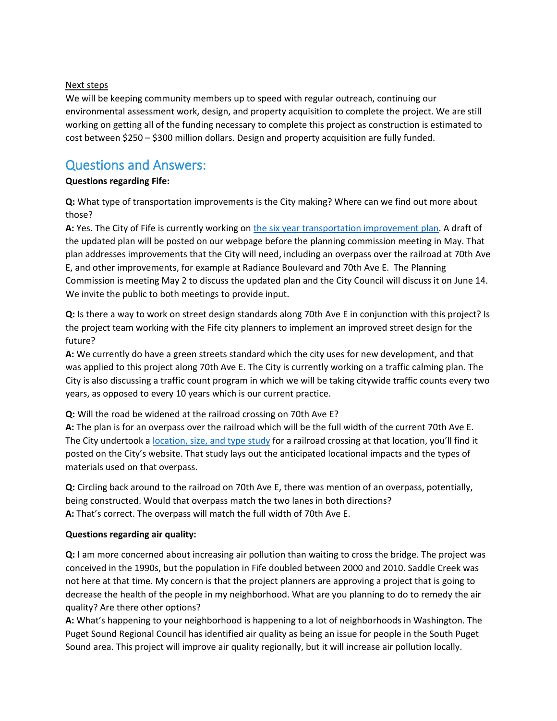#### Next steps

We will be keeping community members up to speed with regular outreach, continuing our environmental assessment work, design, and property acquisition to complete the project. We are still working on getting all of the funding necessary to complete this project as construction is estimated to cost between \$250 – \$300 million dollars. Design and property acquisition are fully funded.

## Questions and Answers:

#### **Questions regarding Fife:**

**Q:** What type of transportation improvements is the City making? Where can we find out more about those?

**A:** Yes. The City of Fife is currently working on the six [year transportation improvement plan.](https://www.cityoffife.org/DocumentCenter/View/3102/Resolution-1940---2021-to-2026-Six-Year-Transportation-Improvement-Program) A draft of the updated plan will be posted on our webpage before the planning commission meeting in May. That plan addresses improvements that the City will need, including an overpass over the railroad at 70th Ave E, and other improvements, for example at Radiance Boulevard and 70th Ave E. The Planning Commission is meeting May 2 to discuss the updated plan and the City Council will discuss it on June 14. We invite the public to both meetings to provide input.

**Q:** Is there a way to work on street design standards along 70th Ave E in conjunction with this project? Is the project team working with the Fife city planners to implement an improved street design for the future?

**A:** We currently do have a green streets standard which the city uses for new development, and that was applied to this project along 70th Ave E. The City is currently working on a traffic calming plan. The City is also discussing a traffic count program in which we will be taking citywide traffic counts every two years, as opposed to every 10 years which is our current practice.

**Q:** Will the road be widened at the railroad crossing on 70th Ave E?

**A:** The plan is for an overpass over the railroad which will be the full width of the current 70th Ave E. The City undertook a [location, size, and type study](https://www.cityoffife.org/DocumentCenter/View/1505/70th-Avenue-Bridge-over-Union-Pacific-Railroad---Type-Size-and-Location-PDF) for a railroad crossing at that location, you'll find it posted on the City's website. That study lays out the anticipated locational impacts and the types of materials used on that overpass.

**Q:** Circling back around to the railroad on 70th Ave E, there was mention of an overpass, potentially, being constructed. Would that overpass match the two lanes in both directions? **A:** That's correct. The overpass will match the full width of 70th Ave E.

#### **Questions regarding air quality:**

**Q:** I am more concerned about increasing air pollution than waiting to cross the bridge. The project was conceived in the 1990s, but the population in Fife doubled between 2000 and 2010. Saddle Creek was not here at that time. My concern is that the project planners are approving a project that is going to decrease the health of the people in my neighborhood. What are you planning to do to remedy the air quality? Are there other options?

**A:** What's happening to your neighborhood is happening to a lot of neighborhoods in Washington. The Puget Sound Regional Council has identified air quality as being an issue for people in the South Puget Sound area. This project will improve air quality regionally, but it will increase air pollution locally.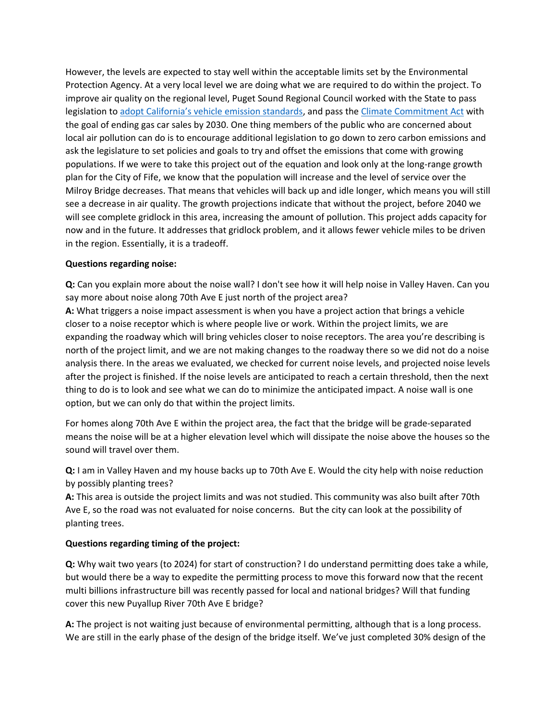However, the levels are expected to stay well within the acceptable limits set by the Environmental Protection Agency. At a very local level we are doing what we are required to do within the project. To improve air quality on the regional level, Puget Sound Regional Council worked with the State to pass legislation to [adopt California's vehicle emission standards](https://ecology.wa.gov/Regulations-Permits/Laws-rules-rulemaking/Rulemaking/WAC-173-423-400), and pass the [Climate Commitment Act](https://ecology.wa.gov/Air-Climate/Climate-change/Reducing-greenhouse-gases/Climate-Commitment-Act) with the goal of ending gas car sales by 2030. One thing members of the public who are concerned about local air pollution can do is to encourage additional legislation to go down to zero carbon emissions and ask the legislature to set policies and goals to try and offset the emissions that come with growing populations. If we were to take this project out of the equation and look only at the long-range growth plan for the City of Fife, we know that the population will increase and the level of service over the Milroy Bridge decreases. That means that vehicles will back up and idle longer, which means you will still see a decrease in air quality. The growth projections indicate that without the project, before 2040 we will see complete gridlock in this area, increasing the amount of pollution. This project adds capacity for now and in the future. It addresses that gridlock problem, and it allows fewer vehicle miles to be driven in the region. Essentially, it is a tradeoff.

#### **Questions regarding noise:**

**Q:** Can you explain more about the noise wall? I don't see how it will help noise in Valley Haven. Can you say more about noise along 70th Ave E just north of the project area?

**A:** What triggers a noise impact assessment is when you have a project action that brings a vehicle closer to a noise receptor which is where people live or work. Within the project limits, we are expanding the roadway which will bring vehicles closer to noise receptors. The area you're describing is north of the project limit, and we are not making changes to the roadway there so we did not do a noise analysis there. In the areas we evaluated, we checked for current noise levels, and projected noise levels after the project is finished. If the noise levels are anticipated to reach a certain threshold, then the next thing to do is to look and see what we can do to minimize the anticipated impact. A noise wall is one option, but we can only do that within the project limits.

For homes along 70th Ave E within the project area, the fact that the bridge will be grade-separated means the noise will be at a higher elevation level which will dissipate the noise above the houses so the sound will travel over them.

**Q:** I am in Valley Haven and my house backs up to 70th Ave E. Would the city help with noise reduction by possibly planting trees?

**A:** This area is outside the project limits and was not studied. This community was also built after 70th Ave E, so the road was not evaluated for noise concerns. But the city can look at the possibility of planting trees.

#### **Questions regarding timing of the project:**

**Q:** Why wait two years (to 2024) for start of construction? I do understand permitting does take a while, but would there be a way to expedite the permitting process to move this forward now that the recent multi billions infrastructure bill was recently passed for local and national bridges? Will that funding cover this new Puyallup River 70th Ave E bridge?

**A:** The project is not waiting just because of environmental permitting, although that is a long process. We are still in the early phase of the design of the bridge itself. We've just completed 30% design of the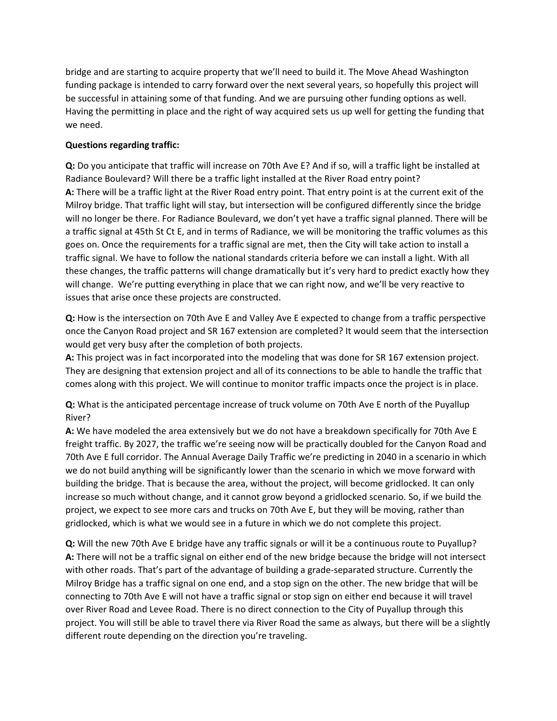bridge and are starting to acquire property that we'll need to build it. The Move Ahead Washington funding package is intended to carry forward over the next several years, so hopefully this project will be successful in attaining some of that funding. And we are pursuing other funding options as well. Having the permitting in place and the right of way acquired sets us up well for getting the funding that we need.

#### **Questions regarding traffic:**

**Q:** Do you anticipate that traffic will increase on 70th Ave E? And if so, will a traffic light be installed at Radiance Boulevard? Will there be a traffic light installed at the River Road entry point? **A:** There will be a traffic light at the River Road entry point. That entry point is at the current exit of the Milroy bridge. That traffic light will stay, but intersection will be configured differently since the bridge will no longer be there. For Radiance Boulevard, we don't yet have a traffic signal planned. There will be a traffic signal at 45th St Ct E, and in terms of Radiance, we will be monitoring the traffic volumes as this goes on. Once the requirements for a traffic signal are met, then the City will take action to install a traffic signal. We have to follow the national standards criteria before we can install a light. With all these changes, the traffic patterns will change dramatically but it's very hard to predict exactly how they will change. We're putting everything in place that we can right now, and we'll be very reactive to issues that arise once these projects are constructed.

**Q:** How is the intersection on 70th Ave E and Valley Ave E expected to change from a traffic perspective once the Canyon Road project and SR 167 extension are completed? It would seem that the intersection would get very busy after the completion of both projects.

**A:** This project was in fact incorporated into the modeling that was done for SR 167 extension project. They are designing that extension project and all of its connections to be able to handle the traffic that comes along with this project. We will continue to monitor traffic impacts once the project is in place.

**Q:** What is the anticipated percentage increase of truck volume on 70th Ave E north of the Puyallup River?

**A:** We have modeled the area extensively but we do not have a breakdown specifically for 70th Ave E freight traffic. By 2027, the traffic we're seeing now will be practically doubled for the Canyon Road and 70th Ave E full corridor. The Annual Average Daily Traffic we're predicting in 2040 in a scenario in which we do not build anything will be significantly lower than the scenario in which we move forward with building the bridge. That is because the area, without the project, will become gridlocked. It can only increase so much without change, and it cannot grow beyond a gridlocked scenario. So, if we build the project, we expect to see more cars and trucks on 70th Ave E, but they will be moving, rather than gridlocked, which is what we would see in a future in which we do not complete this project.

**Q:** Will the new 70th Ave E bridge have any traffic signals or will it be a continuous route to Puyallup? **A:** There will not be a traffic signal on either end of the new bridge because the bridge will not intersect with other roads. That's part of the advantage of building a grade-separated structure. Currently the Milroy Bridge has a traffic signal on one end, and a stop sign on the other. The new bridge that will be connecting to 70th Ave E will not have a traffic signal or stop sign on either end because it will travel over River Road and Levee Road. There is no direct connection to the City of Puyallup through this project. You will still be able to travel there via River Road the same as always, but there will be a slightly different route depending on the direction you're traveling.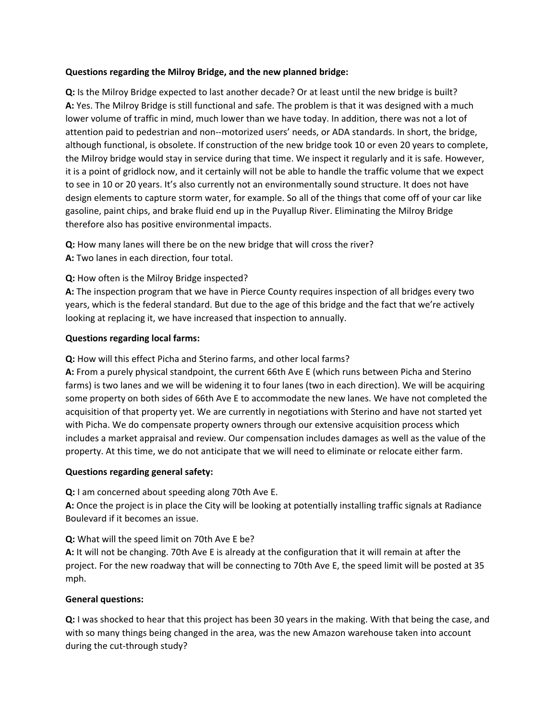#### **Questions regarding the Milroy Bridge, and the new planned bridge:**

**Q:** Is the Milroy Bridge expected to last another decade? Or at least until the new bridge is built? **A:** Yes. The Milroy Bridge is still functional and safe. The problem is that it was designed with a much lower volume of traffic in mind, much lower than we have today. In addition, there was not a lot of attention paid to pedestrian and non--motorized users' needs, or ADA standards. In short, the bridge, although functional, is obsolete. If construction of the new bridge took 10 or even 20 years to complete, the Milroy bridge would stay in service during that time. We inspect it regularly and it is safe. However, it is a point of gridlock now, and it certainly will not be able to handle the traffic volume that we expect to see in 10 or 20 years. It's also currently not an environmentally sound structure. It does not have design elements to capture storm water, for example. So all of the things that come off of your car like gasoline, paint chips, and brake fluid end up in the Puyallup River. Eliminating the Milroy Bridge therefore also has positive environmental impacts.

**Q:** How many lanes will there be on the new bridge that will cross the river? **A:** Two lanes in each direction, four total.

#### **Q:** How often is the Milroy Bridge inspected?

**A:** The inspection program that we have in Pierce County requires inspection of all bridges every two years, which is the federal standard. But due to the age of this bridge and the fact that we're actively looking at replacing it, we have increased that inspection to annually.

#### **Questions regarding local farms:**

**Q:** How will this effect Picha and Sterino farms, and other local farms?

**A:** From a purely physical standpoint, the current 66th Ave E (which runs between Picha and Sterino farms) is two lanes and we will be widening it to four lanes (two in each direction). We will be acquiring some property on both sides of 66th Ave E to accommodate the new lanes. We have not completed the acquisition of that property yet. We are currently in negotiations with Sterino and have not started yet with Picha. We do compensate property owners through our extensive acquisition process which includes a market appraisal and review. Our compensation includes damages as well as the value of the property. At this time, we do not anticipate that we will need to eliminate or relocate either farm.

#### **Questions regarding general safety:**

**Q:** I am concerned about speeding along 70th Ave E.

**A:** Once the project is in place the City will be looking at potentially installing traffic signals at Radiance Boulevard if it becomes an issue.

#### **Q:** What will the speed limit on 70th Ave E be?

**A:** It will not be changing. 70th Ave E is already at the configuration that it will remain at after the project. For the new roadway that will be connecting to 70th Ave E, the speed limit will be posted at 35 mph.

#### **General questions:**

**Q:** I was shocked to hear that this project has been 30 years in the making. With that being the case, and with so many things being changed in the area, was the new Amazon warehouse taken into account during the cut-through study?